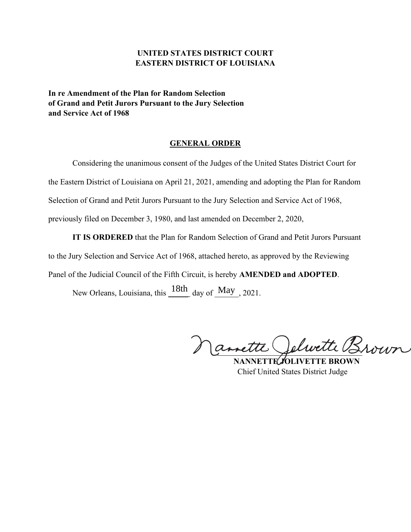# **UNITED STATES DISTRICT COURT EASTERN DISTRICT OF LOUISIANA**

**In re Amendment of the Plan for Random Selection of Grand and Petit Jurors Pursuant to the Jury Selection and Service Act of 1968**

### **GENERAL ORDER**

Considering the unanimous consent of the Judges of the United States District Court for the Eastern District of Louisiana on April 21, 2021, amending and adopting the Plan for Random Selection of Grand and Petit Jurors Pursuant to the Jury Selection and Service Act of 1968, previously filed on December 3, 1980, and last amended on December 2, 2020,

**IT IS ORDERED** that the Plan for Random Selection of Grand and Petit Jurors Pursuant to the Jury Selection and Service Act of 1968, attached hereto, as approved by the Reviewing Panel of the Judicial Council of the Fifth Circuit, is hereby **AMENDED and ADOPTED**.

New Orleans, Louisiana, this  $\frac{18th}{m}$  day of  $\frac{May}{m}$ , 2021.

Mamette Jelwette Brown

 **NANNETTE JOLIVETTE BROWN** Chief United States District Judge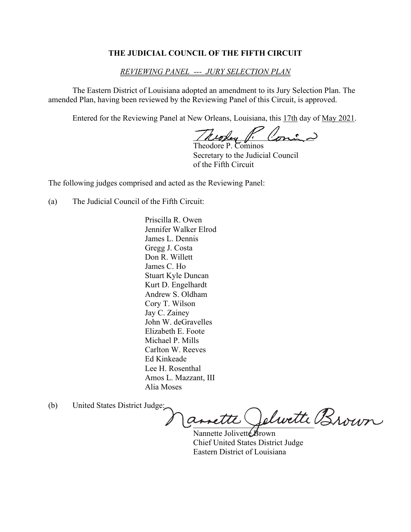## **THE JUDICIAL COUNCIL OF THE FIFTH CIRCUIT**

## *REVIEWING PANEL --- JURY SELECTION PLAN*

The Eastern District of Louisiana adopted an amendment to its Jury Selection Plan. The amended Plan, having been reviewed by the Reviewing Panel of this Circuit, is approved.

Entered for the Reviewing Panel at New Orleans, Louisiana, this 17th day of May 2021.

/ Keopey / Conin-

Theodore P. Cominos Secretary to the Judicial Council of the Fifth Circuit

The following judges comprised and acted as the Reviewing Panel:

(a) The Judicial Council of the Fifth Circuit:

Priscilla R. Owen Jennifer Walker Elrod James L. Dennis Gregg J. Costa Don R. Willett James C. Ho Stuart Kyle Duncan Kurt D. Engelhardt Andrew S. Oldham Cory T. Wilson Jay C. Zainey John W. deGravelles Elizabeth E. Foote Michael P. Mills Carlton W. Reeves Ed Kinkeade Lee H. Rosenthal Amos L. Mazzant, III Alia Moses

(b) United States District Judge:

annette Velwette Brown

Nannette Jolivette Brown Chief United States District Judge Eastern District of Louisiana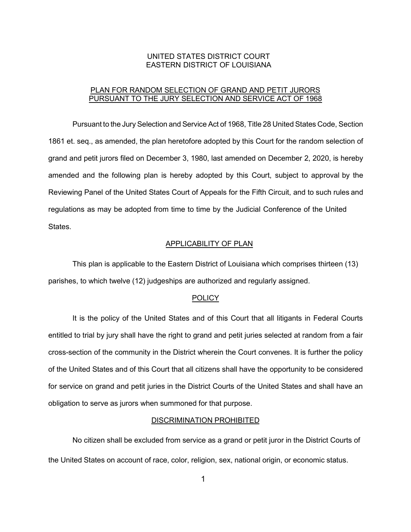## UNITED STATES DISTRICT COURT EASTERN DISTRICT OF LOUISIANA

## PLAN FOR RANDOM SELECTION OF GRAND AND PETIT JURORS PURSUANT TO THE JURY SELECTION AND SERVICE ACT OF 1968

Pursuant to the Jury Selection and Service Act of 1968, Title 28 United States Code, Section 1861 et. seq., as amended, the plan heretofore adopted by this Court for the random selection of grand and petit jurors filed on December 3, 1980, last amended on December 2, 2020, is hereby amended and the following plan is hereby adopted by this Court, subject to approval by the Reviewing Panel of the United States Court of Appeals for the Fifth Circuit, and to such rules and regulations as may be adopted from time to time by the Judicial Conference of the United States.

### APPLICABILITY OF PLAN

This plan is applicable to the Eastern District of Louisiana which comprises thirteen (13) parishes, to which twelve (12) judgeships are authorized and regularly assigned.

#### **POLICY**

It is the policy of the United States and of this Court that all litigants in Federal Courts entitled to trial by jury shall have the right to grand and petit juries selected at random from a fair cross-section of the community in the District wherein the Court convenes. It is further the policy of the United States and of this Court that all citizens shall have the opportunity to be considered for service on grand and petit juries in the District Courts of the United States and shall have an obligation to serve as jurors when summoned for that purpose.

#### DISCRIMINATION PROHIBITED

No citizen shall be excluded from service as a grand or petit juror in the District Courts of the United States on account of race, color, religion, sex, national origin, or economic status.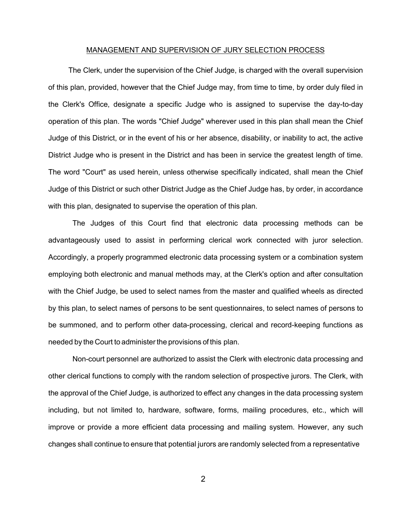### MANAGEMENT AND SUPERVISION OF JURY SELECTION PROCESS

The Clerk, under the supervision of the Chief Judge, is charged with the overall supervision of this plan, provided, however that the Chief Judge may, from time to time, by order duly filed in the Clerk's Office, designate a specific Judge who is assigned to supervise the day-to-day operation of this plan. The words "Chief Judge" wherever used in this plan shall mean the Chief Judge of this District, or in the event of his or her absence, disability, or inability to act, the active District Judge who is present in the District and has been in service the greatest length of time. The word "Court" as used herein, unless otherwise specifically indicated, shall mean the Chief Judge of this District or such other District Judge as the Chief Judge has, by order, in accordance with this plan, designated to supervise the operation of this plan.

The Judges of this Court find that electronic data processing methods can be advantageously used to assist in performing clerical work connected with juror selection. Accordingly, a properly programmed electronic data processing system or a combination system employing both electronic and manual methods may, at the Clerk's option and after consultation with the Chief Judge, be used to select names from the master and qualified wheels as directed by this plan, to select names of persons to be sent questionnaires, to select names of persons to be summoned, and to perform other data-processing, clerical and record-keeping functions as needed by the Court to administerthe provisions of this plan.

Non-court personnel are authorized to assist the Clerk with electronic data processing and other clerical functions to comply with the random selection of prospective jurors. The Clerk, with the approval of the Chief Judge, is authorized to effect any changes in the data processing system including, but not limited to, hardware, software, forms, mailing procedures, etc., which will improve or provide a more efficient data processing and mailing system. However, any such changes shall continue to ensure that potential jurors are randomly selected from a representative

2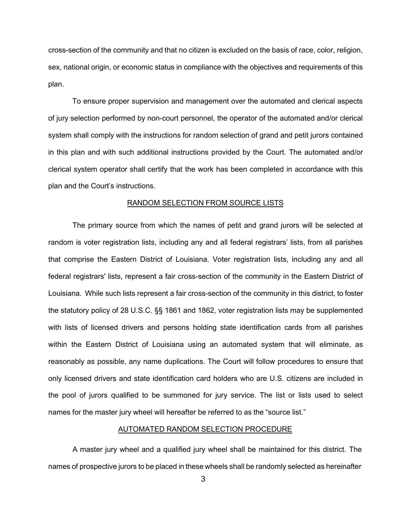cross-section of the community and that no citizen is excluded on the basis of race, color, religion, sex, national origin, or economic status in compliance with the objectives and requirements of this plan.

To ensure proper supervision and management over the automated and clerical aspects of jury selection performed by non-court personnel, the operator of the automated and/or clerical system shall comply with the instructions for random selection of grand and petit jurors contained in this plan and with such additional instructions provided by the Court. The automated and/or clerical system operator shall certify that the work has been completed in accordance with this plan and the Court's instructions.

### RANDOM SELECTION FROM SOURCE LISTS

The primary source from which the names of petit and grand jurors will be selected at random is voter registration lists, including any and all federal registrars' lists, from all parishes that comprise the Eastern District of Louisiana. Voter registration lists, including any and all federal registrars' lists, represent a fair cross-section of the community in the Eastern District of Louisiana. While such lists represent a fair cross-section of the community in this district, to foster the statutory policy of 28 U.S.C. §§ 1861 and 1862, voter registration lists may be supplemented with lists of licensed drivers and persons holding state identification cards from all parishes within the Eastern District of Louisiana using an automated system that will eliminate, as reasonably as possible, any name duplications. The Court will follow procedures to ensure that only licensed drivers and state identification card holders who are U.S. citizens are included in the pool of jurors qualified to be summoned for jury service. The list or lists used to select names for the master jury wheel will hereafter be referred to as the "source list."

### AUTOMATED RANDOM SELECTION PROCEDURE

A master jury wheel and a qualified jury wheel shall be maintained for this district. The names of prospective jurors to be placed in these wheels shall be randomly selected as hereinafter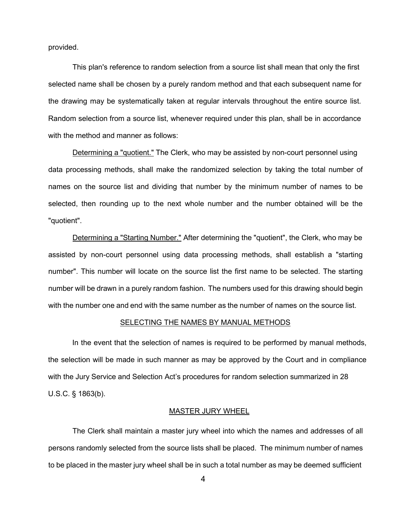provided.

This plan's reference to random selection from a source list shall mean that only the first selected name shall be chosen by a purely random method and that each subsequent name for the drawing may be systematically taken at regular intervals throughout the entire source list. Random selection from a source list, whenever required under this plan, shall be in accordance with the method and manner as follows:

Determining a "quotient." The Clerk, who may be assisted by non-court personnel using data processing methods, shall make the randomized selection by taking the total number of names on the source list and dividing that number by the minimum number of names to be selected, then rounding up to the next whole number and the number obtained will be the "quotient".

Determining a "Starting Number." After determining the "quotient", the Clerk, who may be assisted by non-court personnel using data processing methods, shall establish a "starting number". This number will locate on the source list the first name to be selected. The starting number will be drawn in a purely random fashion. The numbers used for this drawing should begin with the number one and end with the same number as the number of names on the source list.

#### SELECTING THE NAMES BY MANUAL METHODS

In the event that the selection of names is required to be performed by manual methods, the selection will be made in such manner as may be approved by the Court and in compliance with the Jury Service and Selection Act's procedures for random selection summarized in 28 U.S.C. § 1863(b).

### MASTER JURY WHEEL

The Clerk shall maintain a master jury wheel into which the names and addresses of all persons randomly selected from the source lists shall be placed. The minimum number of names to be placed in the master jury wheel shall be in such a total number as may be deemed sufficient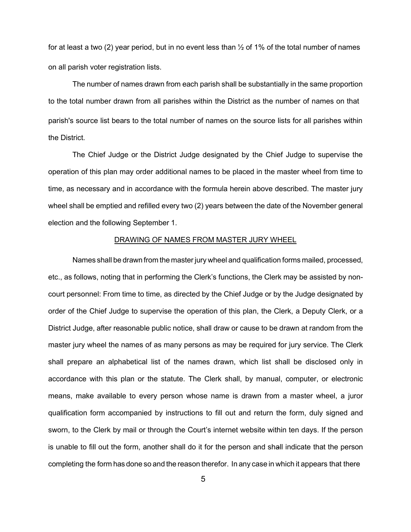for at least a two (2) year period, but in no event less than  $\frac{1}{2}$  of 1% of the total number of names on all parish voter registration lists.

The number of names drawn from each parish shall be substantially in the same proportion to the total number drawn from all parishes within the District as the number of names on that parish's source list bears to the total number of names on the source lists for all parishes within the District.

The Chief Judge or the District Judge designated by the Chief Judge to supervise the operation of this plan may order additional names to be placed in the master wheel from time to time, as necessary and in accordance with the formula herein above described. The master jury wheel shall be emptied and refilled every two (2) years between the date of the November general election and the following September 1.

### DRAWING OF NAMES FROM MASTER JURY WHEEL

Names shall be drawn from the master jury wheel and qualification forms mailed, processed, etc., as follows, noting that in performing the Clerk's functions, the Clerk may be assisted by noncourt personnel: From time to time, as directed by the Chief Judge or by the Judge designated by order of the Chief Judge to supervise the operation of this plan, the Clerk, a Deputy Clerk, or a District Judge, after reasonable public notice, shall draw or cause to be drawn at random from the master jury wheel the names of as many persons as may be required for jury service. The Clerk shall prepare an alphabetical list of the names drawn, which list shall be disclosed only in accordance with this plan or the statute. The Clerk shall, by manual, computer, or electronic means, make available to every person whose name is drawn from a master wheel, a juror qualification form accompanied by instructions to fill out and return the form, duly signed and sworn, to the Clerk by mail or through the Court's internet website within ten days. If the person is unable to fill out the form, another shall do it for the person and shall indicate that the person completing the form has done so and the reason therefor. In any case in which it appears that there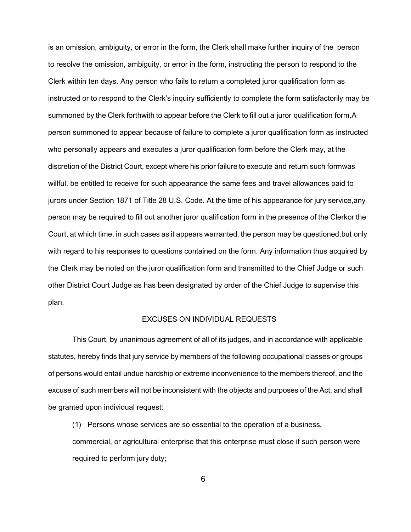is an omission, ambiguity, or error in the form, the Clerk shall make further inquiry of the person to resolve the omission, ambiguity, or error in the form, instructing the person to respond to the Clerk within ten days. Any person who fails to return a completed juror qualification form as instructed or to respond to the Clerk's inquiry sufficiently to complete the form satisfactorily may be summoned by the Clerk forthwith to appear before the Clerk to fill out a juror qualification form.A person summoned to appear because of failure to complete a juror qualification form as instructed who personally appears and executes a juror qualification form before the Clerk may, at the discretion of the District Court, except where his prior failure to execute and return such formwas willful, be entitled to receive for such appearance the same fees and travel allowances paid to jurors under Section 1871 of Title 28 U.S. Code. At the time of his appearance for jury service, any person may be required to fill out another juror qualification form in the presence of the Clerkor the Court, at which time, in such cases as it appears warranted, the person may be questioned,but only with regard to his responses to questions contained on the form. Any information thus acquired by the Clerk may be noted on the juror qualification form and transmitted to the Chief Judge or such other District Court Judge as has been designated by order of the Chief Judge to supervise this plan.

### EXCUSES ON INDIVIDUAL REQUESTS

This Court, by unanimous agreement of all of its judges, and in accordance with applicable statutes, hereby finds that jury service by members of the following occupational classes or groups of persons would entail undue hardship or extreme inconvenience to the members thereof, and the excuse of such members will not be inconsistent with the objects and purposes of the Act, and shall be granted upon individual request:

(1) Persons whose services are so essential to the operation of a business,

commercial, or agricultural enterprise that this enterprise must close if such person were required to perform jury duty;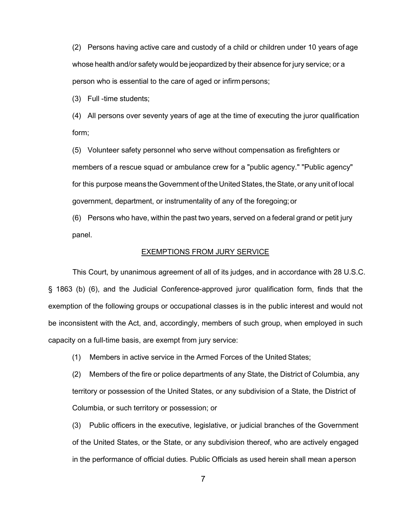(2) Persons having active care and custody of a child or children under 10 years of age whose health and/or safety would be jeopardized by their absence for jury service; or a person who is essential to the care of aged or infirm persons;

(3) Full -time students;

(4) All persons over seventy years of age at the time of executing the juror qualification form;

(5) Volunteer safety personnel who serve without compensation as firefighters or members of a rescue squad or ambulance crew for a "public agency." "Public agency" for this purpose means the Government of the United States, the State, or any unit of local government, department, or instrumentality of any of the foregoing;or

(6) Persons who have, within the past two years, served on a federal grand or petit jury panel.

## EXEMPTIONS FROM JURY SERVICE

This Court, by unanimous agreement of all of its judges, and in accordance with 28 U.S.C. § 1863 (b) (6), and the Judicial Conference-approved juror qualification form, finds that the exemption of the following groups or occupational classes is in the public interest and would not be inconsistent with the Act, and, accordingly, members of such group, when employed in such capacity on a full-time basis, are exempt from jury service:

(1) Members in active service in the Armed Forces of the United States;

(2) Members of the fire or police departments of any State, the District of Columbia, any territory or possession of the United States, or any subdivision of a State, the District of Columbia, or such territory or possession; or

(3) Public officers in the executive, legislative, or judicial branches of the Government of the United States, or the State, or any subdivision thereof, who are actively engaged in the performance of official duties. Public Officials as used herein shall mean a person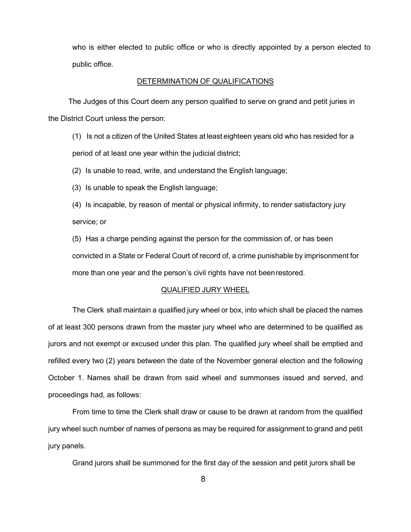who is either elected to public office or who is directly appointed by a person elected to public office.

### DETERMINATION OF QUALIFICATIONS

The Judges of this Court deem any person qualified to serve on grand and petit juries in the District Court unless the person:

(1) Is not a citizen of the United States at least eighteen years old who has resided for a period of at least one year within the judicial district;

(2) Is unable to read, write, and understand the English language;

(3) Is unable to speak the English language;

(4) Is incapable, by reason of mental or physical infirmity, to render satisfactory jury service; or

(5) Has a charge pending against the person for the commission of, or has been convicted in a State or Federal Court of record of, a crime punishable by imprisonment for more than one year and the person's civil rights have not beenrestored.

### QUALIFIED JURY WHEEL

The Clerk shall maintain a qualified jury wheel or box, into which shall be placed the names of at least 300 persons drawn from the master jury wheel who are determined to be qualified as jurors and not exempt or excused under this plan. The qualified jury wheel shall be emptied and refilled every two (2) years between the date of the November general election and the following October 1. Names shall be drawn from said wheel and summonses issued and served, and proceedings had, as follows:

From time to time the Clerk shall draw or cause to be drawn at random from the qualified jury wheel such number of names of persons as may be required for assignment to grand and petit jury panels.

Grand jurors shall be summoned for the first day of the session and petit jurors shall be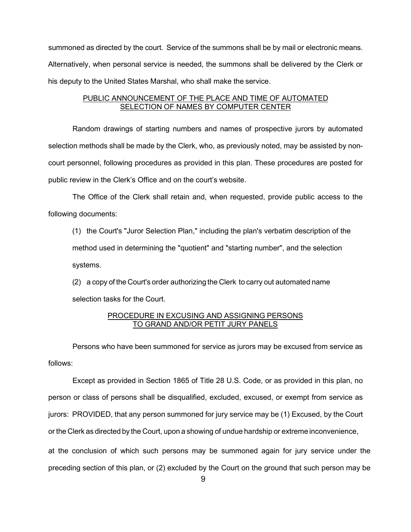summoned as directed by the court. Service of the summons shall be by mail or electronic means. Alternatively, when personal service is needed, the summons shall be delivered by the Clerk or his deputy to the United States Marshal, who shall make the service.

## PUBLIC ANNOUNCEMENT OF THE PLACE AND TIME OF AUTOMATED SELECTION OF NAMES BY COMPUTER CENTER

Random drawings of starting numbers and names of prospective jurors by automated selection methods shall be made by the Clerk, who, as previously noted, may be assisted by noncourt personnel, following procedures as provided in this plan. These procedures are posted for public review in the Clerk's Office and on the court's website.

The Office of the Clerk shall retain and, when requested, provide public access to the following documents:

(1) the Court's "Juror Selection Plan," including the plan's verbatim description of the method used in determining the "quotient" and "starting number", and the selection systems.

(2) a copy of the Court's order authorizing the Clerk to carry out automated name selection tasks for the Court.

## PROCEDURE IN EXCUSING AND ASSIGNING PERSONS TO GRAND AND/OR PETIT JURY PANELS

Persons who have been summoned for service as jurors may be excused from service as follows:

Except as provided in Section 1865 of Title 28 U.S. Code, or as provided in this plan, no person or class of persons shall be disqualified, excluded, excused, or exempt from service as jurors: PROVIDED, that any person summoned for jury service may be (1) Excused, by the Court or the Clerk as directed by the Court, upon a showing of undue hardship or extreme inconvenience, at the conclusion of which such persons may be summoned again for jury service under the preceding section of this plan, or (2) excluded by the Court on the ground that such person may be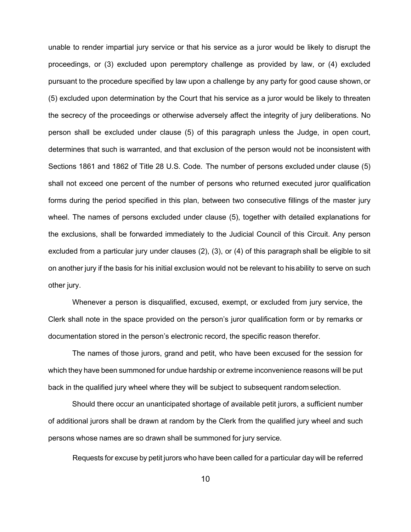unable to render impartial jury service or that his service as a juror would be likely to disrupt the proceedings, or (3) excluded upon peremptory challenge as provided by law, or (4) excluded pursuant to the procedure specified by law upon a challenge by any party for good cause shown, or (5) excluded upon determination by the Court that his service as a juror would be likely to threaten the secrecy of the proceedings or otherwise adversely affect the integrity of jury deliberations. No person shall be excluded under clause (5) of this paragraph unless the Judge, in open court, determines that such is warranted, and that exclusion of the person would not be inconsistent with Sections 1861 and 1862 of Title 28 U.S. Code. The number of persons excluded under clause (5) shall not exceed one percent of the number of persons who returned executed juror qualification forms during the period specified in this plan, between two consecutive fillings of the master jury wheel. The names of persons excluded under clause (5), together with detailed explanations for the exclusions, shall be forwarded immediately to the Judicial Council of this Circuit. Any person excluded from a particular jury under clauses (2), (3), or (4) of this paragraph shall be eligible to sit on another jury if the basis for his initial exclusion would not be relevant to hisability to serve on such other jury.

Whenever a person is disqualified, excused, exempt, or excluded from jury service, the Clerk shall note in the space provided on the person's juror qualification form or by remarks or documentation stored in the person's electronic record, the specific reason therefor.

The names of those jurors, grand and petit, who have been excused for the session for which they have been summoned for undue hardship or extreme inconvenience reasons will be put back in the qualified jury wheel where they will be subject to subsequent randomselection.

Should there occur an unanticipated shortage of available petit jurors, a sufficient number of additional jurors shall be drawn at random by the Clerk from the qualified jury wheel and such persons whose names are so drawn shall be summoned for jury service.

Requests for excuse by petit jurors who have been called for a particular day will be referred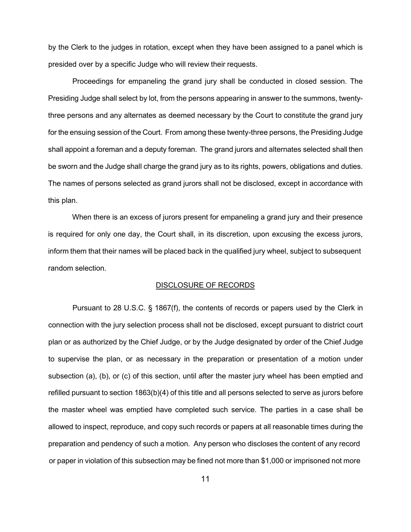by the Clerk to the judges in rotation, except when they have been assigned to a panel which is presided over by a specific Judge who will review their requests.

Proceedings for empaneling the grand jury shall be conducted in closed session. The Presiding Judge shall select by lot, from the persons appearing in answer to the summons, twentythree persons and any alternates as deemed necessary by the Court to constitute the grand jury for the ensuing session of the Court. From among these twenty-three persons, the Presiding Judge shall appoint a foreman and a deputy foreman. The grand jurors and alternates selected shall then be sworn and the Judge shall charge the grand jury as to its rights, powers, obligations and duties. The names of persons selected as grand jurors shall not be disclosed, except in accordance with this plan.

When there is an excess of jurors present for empaneling a grand jury and their presence is required for only one day, the Court shall, in its discretion, upon excusing the excess jurors, inform them that their names will be placed back in the qualified jury wheel, subject to subsequent random selection.

## DISCLOSURE OF RECORDS

Pursuant to 28 U.S.C. § 1867(f), the contents of records or papers used by the Clerk in connection with the jury selection process shall not be disclosed, except pursuant to district court plan or as authorized by the Chief Judge, or by the Judge designated by order of the Chief Judge to supervise the plan, or as necessary in the preparation or presentation of a motion under subsection (a), (b), or (c) of this section, until after the master jury wheel has been emptied and refilled pursuant to section 1863(b)(4) of this title and all persons selected to serve as jurors before the master wheel was emptied have completed such service. The parties in a case shall be allowed to inspect, reproduce, and copy such records or papers at all reasonable times during the preparation and pendency of such a motion. Any person who discloses the content of any record or paper in violation of this subsection may be fined not more than \$1,000 or imprisoned not more